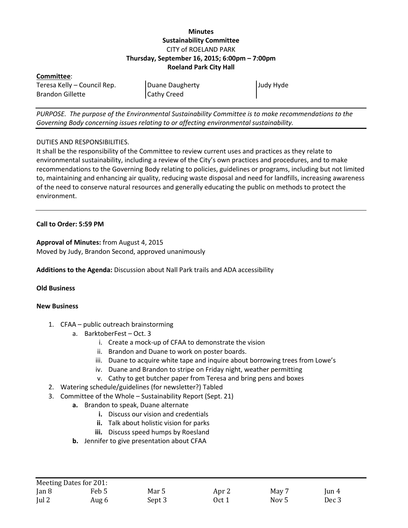# **Minutes Sustainability Committee** CITY of ROELAND PARK **Thursday, September 16, 2015; 6:00pm – 7:00pm Roeland Park City Hall**

### **Committee**:

Teresa Kelly – Council Rep. Brandon Gillette

Duane Daugherty Cathy Creed

Judy Hyde

*PURPOSE. The purpose of the Environmental Sustainability Committee is to make recommendations to the Governing Body concerning issues relating to or affecting environmental sustainability.*

## DUTIES AND RESPONSIBILITIES.

It shall be the responsibility of the Committee to review current uses and practices as they relate to environmental sustainability, including a review of the City's own practices and procedures, and to make recommendations to the Governing Body relating to policies, guidelines or programs, including but not limited to, maintaining and enhancing air quality, reducing waste disposal and need for landfills, increasing awareness of the need to conserve natural resources and generally educating the public on methods to protect the environment.

## **Call to Order: 5:59 PM**

**Approval of Minutes:** from August 4, 2015 Moved by Judy, Brandon Second, approved unanimously

**Additions to the Agenda:** Discussion about Nall Park trails and ADA accessibility

#### **Old Business**

#### **New Business**

- 1. CFAA public outreach brainstorming
	- a. BarktoberFest Oct. 3
		- i. Create a mock-up of CFAA to demonstrate the vision
		- ii. Brandon and Duane to work on poster boards.
		- iii. Duane to acquire white tape and inquire about borrowing trees from Lowe's
		- iv. Duane and Brandon to stripe on Friday night, weather permitting
		- v. Cathy to get butcher paper from Teresa and bring pens and boxes
- 2. Watering schedule/guidelines (for newsletter?) Tabled
- 3. Committee of the Whole Sustainability Report (Sept. 21)
	- **a.** Brandon to speak, Duane alternate
		- **i.** Discuss our vision and credentials
		- **ii.** Talk about holistic vision for parks
		- **iii.** Discuss speed humps by Roesland
	- **b.** Jennifer to give presentation about CFAA

|               | Meeting Dates for 201: |        |       |       |          |
|---------------|------------------------|--------|-------|-------|----------|
| Jan 8         | Feb 5                  | Mar 5  | Apr 2 | May 7 | $\tan 4$ |
| $\lceil$ ul 2 | Aug 6                  | Sept 3 | Oct 1 | Nov 5 | Dec 3    |